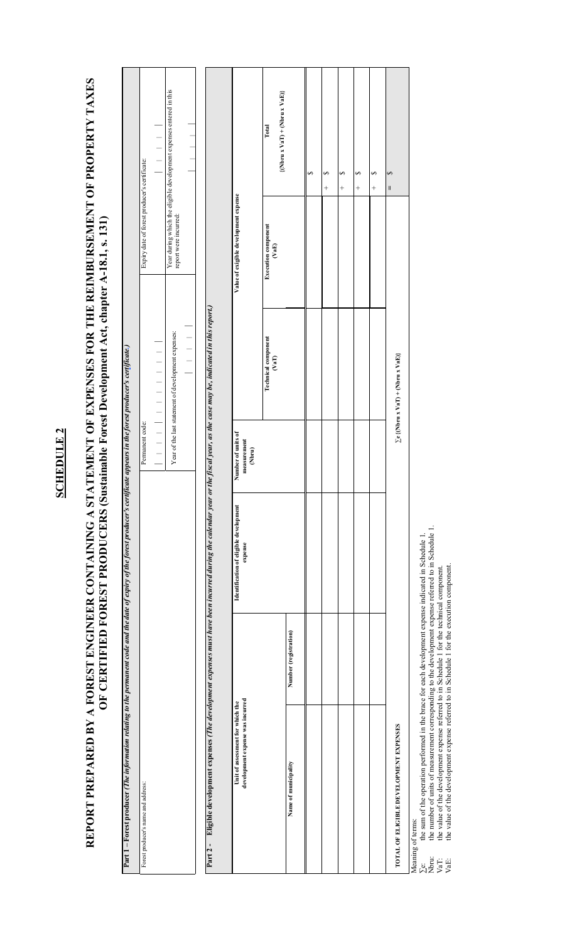## **SCHEDULE 2 SCHEDULE 2**

## REPORT PREPARED BY A FOREST ENGINEER CONTAINING A STATEMENT OF EXPENSES FOR THE REIMBURSEMENT OF PROPERTY TAXES **REPORT PREPARED BY A FOREST ENGINEER CONTAINING A STATEMENT OF EXPENSES FOR THE REIMBURSEMENT OF PROPERTY TAXES**  OF CERTIFIED FOREST PRODUCERS (Sustainable Forest Development Act, chapter A-18.1, s. 131) **OF CERTIFIED FOREST PRODUCERS (Sustainable Forest Development Act, chapter A-18.1, s. 131)**

| Part 1 – Forest producer ( <i>The information relating to the permanent code and the date of expiry of the forest producer's certificate appears in the forest producer's certificate)</i> |                       |                                                   |                                             |                                                     |                                                            |                                                                     |
|--------------------------------------------------------------------------------------------------------------------------------------------------------------------------------------------|-----------------------|---------------------------------------------------|---------------------------------------------|-----------------------------------------------------|------------------------------------------------------------|---------------------------------------------------------------------|
| Forest producer's name and address:                                                                                                                                                        |                       |                                                   | Permanent code:                             |                                                     | Expiry date of forest producer's certificate:              |                                                                     |
|                                                                                                                                                                                            |                       |                                                   |                                             | — — — — — — — — — — — —                             |                                                            | — — — — —<br>— — —                                                  |
|                                                                                                                                                                                            |                       |                                                   |                                             | Year of the last statement of development expenses: | report were incurred:                                      | Year during which the eligible development expenses entered in this |
|                                                                                                                                                                                            |                       |                                                   |                                             | — — — — —<br>—                                      |                                                            |                                                                     |
| Eligible development expenses (The development expenses must have been incurred during the calendar year or the fiscal year, as the case may be, indicated in this report.)<br>Part 2-     |                       |                                                   |                                             |                                                     |                                                            |                                                                     |
|                                                                                                                                                                                            |                       |                                                   |                                             |                                                     |                                                            |                                                                     |
| development expense was incurred<br>Unit of assessment for which the                                                                                                                       |                       | Identification of eligible development<br>expense | Number of units of<br>measurement<br>(Nbru) |                                                     | Value of exigible development expense                      |                                                                     |
|                                                                                                                                                                                            |                       |                                                   |                                             | <b>Technical component</b><br>$\binom{aT}{b}$       | <b>Execution component</b><br>$\left( \mathrm{VaE}\right)$ | Total                                                               |
| Name of municipality                                                                                                                                                                       | Number (registration) |                                                   |                                             |                                                     |                                                            | $\{({\rm Nbru} \ge {\rm VaT}) + ({\rm Nbru} \times {\rm VaE})\}$    |
|                                                                                                                                                                                            |                       |                                                   |                                             |                                                     |                                                            | S                                                                   |
|                                                                                                                                                                                            |                       |                                                   |                                             |                                                     |                                                            | ⊷<br>$^{+}$                                                         |
|                                                                                                                                                                                            |                       |                                                   |                                             |                                                     |                                                            | S<br>$^{+}$                                                         |
|                                                                                                                                                                                            |                       |                                                   |                                             |                                                     |                                                            | S<br>$^{+}$                                                         |
|                                                                                                                                                                                            |                       |                                                   |                                             |                                                     |                                                            | S<br>$^{+}$                                                         |

Meaning of terms: Meaning of terms:

TOTAL OF ELIGIBLE DEVELOPMENT EXPENSES

the sum of the operation performed in the brace for each development expense indicated in Schedule 1.<br>the number of units of measurement corresponding to the development expense referred to in Schedule 1.<br>the value of the ∑e: the sum of the operation performed in the brace for each development expense indicated in Schedule 1.  $\begin{array}{l} \sum \mathbf{c} : \\ \sum \mathbf{w} \mathbf{m} : \\ \mathbf{V} \mathbf{a} \mathbf{T} : \\ \mathbf{V} \mathbf{a} \mathbf{E} : \end{array}$ 

**TOTAL OF ELIGIBLE DEVELOPMENT EXPENSES ∑e {(Nbru x VaT) + (Nbru x VaE)}** 

 $\sum e\ \{(\mbox{Nbru x VaT}) + (\mbox{Nbru x VaE})\}$ 

**=** \$

Nbru: the number of units of measurement corresponding to the development expense referred to in Schedule 1.

VaT: the value of the development expense referred to in Schedule 1 for the technical component.

VaE: the value of the development expense referred to in Schedule 1 for the execution component.